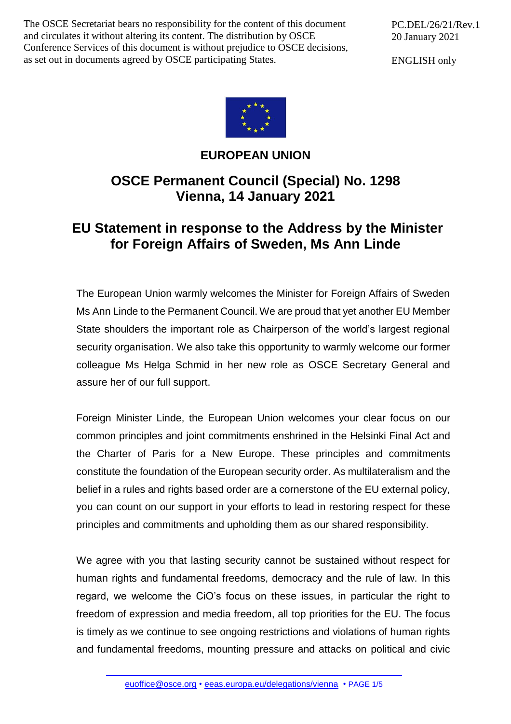The OSCE Secretariat bears no responsibility for the content of this document and circulates it without altering its content. The distribution by OSCE Conference Services of this document is without prejudice to OSCE decisions, as set out in documents agreed by OSCE participating States.

ENGLISH only



## **EUROPEAN UNION**

## **OSCE Permanent Council (Special) No. 1298 Vienna, 14 January 2021**

## **EU Statement in response to the Address by the Minister for Foreign Affairs of Sweden, Ms Ann Linde**

The European Union warmly welcomes the Minister for Foreign Affairs of Sweden Ms Ann Linde to the Permanent Council. We are proud that yet another EU Member State shoulders the important role as Chairperson of the world's largest regional security organisation. We also take this opportunity to warmly welcome our former colleague Ms Helga Schmid in her new role as OSCE Secretary General and assure her of our full support.

Foreign Minister Linde, the European Union welcomes your clear focus on our common principles and joint commitments enshrined in the Helsinki Final Act and the Charter of Paris for a New Europe. These principles and commitments constitute the foundation of the European security order. As multilateralism and the belief in a rules and rights based order are a cornerstone of the EU external policy, you can count on our support in your efforts to lead in restoring respect for these principles and commitments and upholding them as our shared responsibility.

We agree with you that lasting security cannot be sustained without respect for human rights and fundamental freedoms, democracy and the rule of law. In this regard, we welcome the CiO's focus on these issues, in particular the right to freedom of expression and media freedom, all top priorities for the EU. The focus is timely as we continue to see ongoing restrictions and violations of human rights and fundamental freedoms, mounting pressure and attacks on political and civic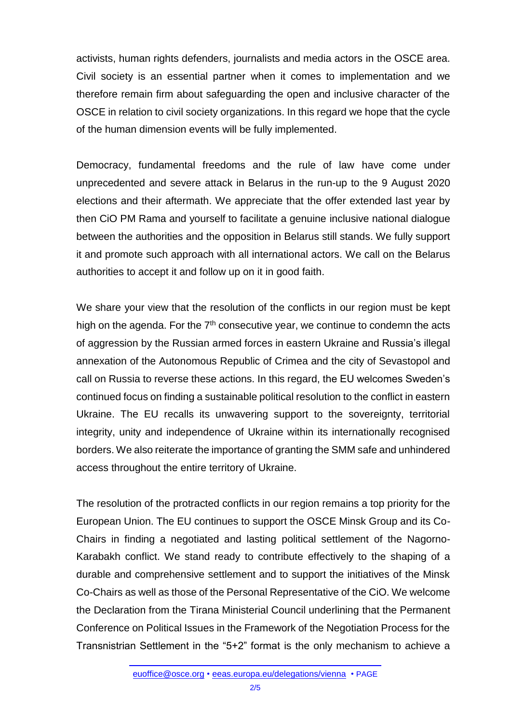activists, human rights defenders, journalists and media actors in the OSCE area. Civil society is an essential partner when it comes to implementation and we therefore remain firm about safeguarding the open and inclusive character of the OSCE in relation to civil society organizations. In this regard we hope that the cycle of the human dimension events will be fully implemented.

Democracy, fundamental freedoms and the rule of law have come under unprecedented and severe attack in Belarus in the run-up to the 9 August 2020 elections and their aftermath. We appreciate that the offer extended last year by then CiO PM Rama and yourself to facilitate a genuine inclusive national dialogue between the authorities and the opposition in Belarus still stands. We fully support it and promote such approach with all international actors. We call on the Belarus authorities to accept it and follow up on it in good faith.

We share your view that the resolution of the conflicts in our region must be kept high on the agenda. For the  $7<sup>th</sup>$  consecutive year, we continue to condemn the acts of aggression by the Russian armed forces in eastern Ukraine and Russia's illegal annexation of the Autonomous Republic of Crimea and the city of Sevastopol and call on Russia to reverse these actions. In this regard, the EU welcomes Sweden's continued focus on finding a sustainable political resolution to the conflict in eastern Ukraine. The EU recalls its unwavering support to the sovereignty, territorial integrity, unity and independence of Ukraine within its internationally recognised borders. We also reiterate the importance of granting the SMM safe and unhindered access throughout the entire territory of Ukraine.

The resolution of the protracted conflicts in our region remains a top priority for the European Union. The EU continues to support the OSCE Minsk Group and its Co-Chairs in finding a negotiated and lasting political settlement of the Nagorno-Karabakh conflict. We stand ready to contribute effectively to the shaping of a durable and comprehensive settlement and to support the initiatives of the Minsk Co-Chairs as well as those of the Personal Representative of the CiO. We welcome the Declaration from the Tirana Ministerial Council underlining that the Permanent Conference on Political Issues in the Framework of the Negotiation Process for the Transnistrian Settlement in the "5+2" format is the only mechanism to achieve a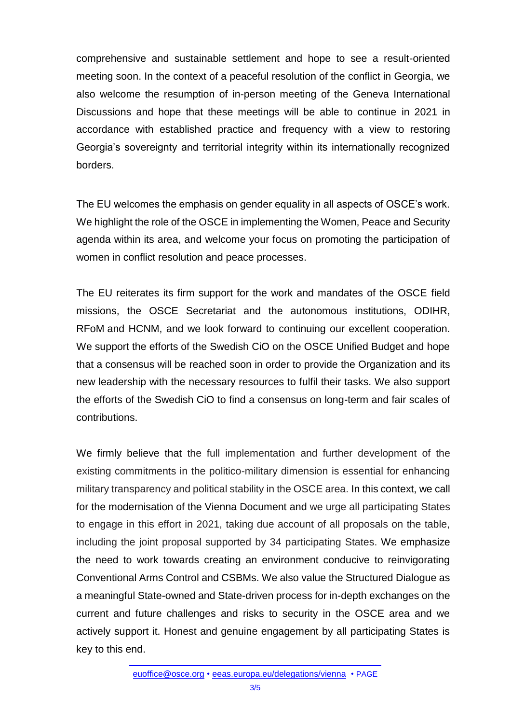comprehensive and sustainable settlement and hope to see a result-oriented meeting soon. In the context of a peaceful resolution of the conflict in Georgia, we also welcome the resumption of in-person meeting of the Geneva International Discussions and hope that these meetings will be able to continue in 2021 in accordance with established practice and frequency with a view to restoring Georgia's sovereignty and territorial integrity within its internationally recognized borders.

The EU welcomes the emphasis on gender equality in all aspects of OSCE's work. We highlight the role of the OSCE in implementing the Women, Peace and Security agenda within its area, and welcome your focus on promoting the participation of women in conflict resolution and peace processes.

The EU reiterates its firm support for the work and mandates of the OSCE field missions, the OSCE Secretariat and the autonomous institutions, ODIHR, RFoM and HCNM, and we look forward to continuing our excellent cooperation. We support the efforts of the Swedish CiO on the OSCE Unified Budget and hope that a consensus will be reached soon in order to provide the Organization and its new leadership with the necessary resources to fulfil their tasks. We also support the efforts of the Swedish CiO to find a consensus on long-term and fair scales of contributions.

We firmly believe that the full implementation and further development of the existing commitments in the politico-military dimension is essential for enhancing military transparency and political stability in the OSCE area. In this context, we call for the modernisation of the Vienna Document and we urge all participating States to engage in this effort in 2021, taking due account of all proposals on the table, including the joint proposal supported by 34 participating States. We emphasize the need to work towards creating an environment conducive to reinvigorating Conventional Arms Control and CSBMs. We also value the Structured Dialogue as a meaningful State-owned and State-driven process for in-depth exchanges on the current and future challenges and risks to security in the OSCE area and we actively support it. Honest and genuine engagement by all participating States is key to this end.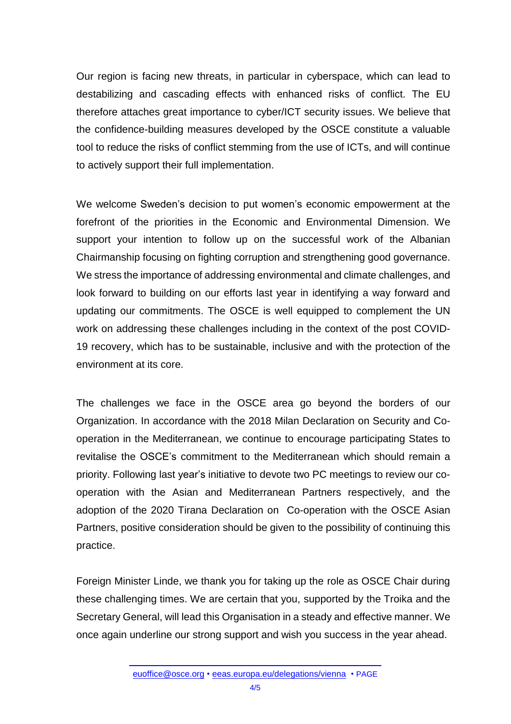Our region is facing new threats, in particular in cyberspace, which can lead to destabilizing and cascading effects with enhanced risks of conflict. The EU therefore attaches great importance to cyber/ICT security issues. We believe that the confidence-building measures developed by the OSCE constitute a valuable tool to reduce the risks of conflict stemming from the use of ICTs, and will continue to actively support their full implementation.

We welcome Sweden's decision to put women's economic empowerment at the forefront of the priorities in the Economic and Environmental Dimension. We support your intention to follow up on the successful work of the Albanian Chairmanship focusing on fighting corruption and strengthening good governance. We stress the importance of addressing environmental and climate challenges, and look forward to building on our efforts last year in identifying a way forward and updating our commitments. The OSCE is well equipped to complement the UN work on addressing these challenges including in the context of the post COVID-19 recovery, which has to be sustainable, inclusive and with the protection of the environment at its core.

The challenges we face in the OSCE area go beyond the borders of our Organization. In accordance with the 2018 Milan Declaration on Security and Cooperation in the Mediterranean, we continue to encourage participating States to revitalise the OSCE's commitment to the Mediterranean which should remain a priority. Following last year's initiative to devote two PC meetings to review our cooperation with the Asian and Mediterranean Partners respectively, and the adoption of the 2020 Tirana Declaration on [Co-operation](https://www.osce.org/chairmanship/472839) with the OSCE Asian [Partners,](https://www.osce.org/chairmanship/472839) positive consideration should be given to the possibility of continuing this practice.

Foreign Minister Linde, we thank you for taking up the role as OSCE Chair during these challenging times. We are certain that you, supported by the Troika and the Secretary General, will lead this Organisation in a steady and effective manner. We once again underline our strong support and wish you success in the year ahead.